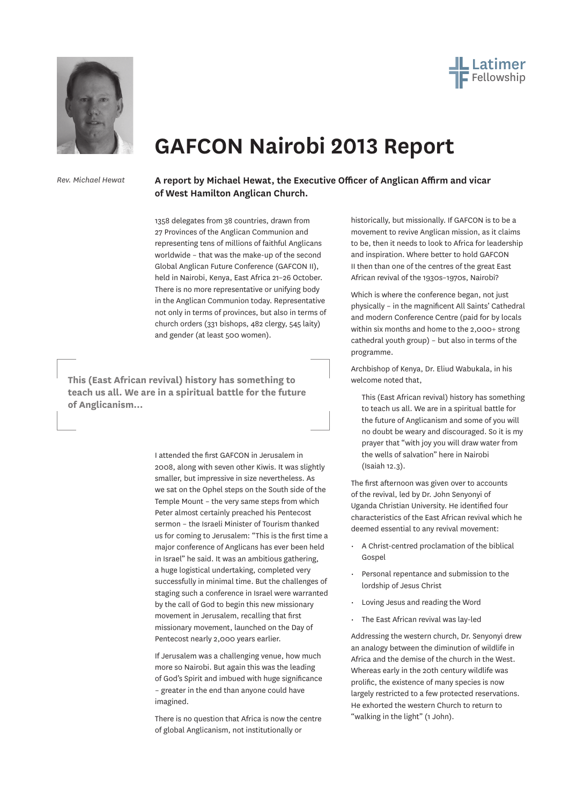



## **GAFCON Nairobi 2013 Report**

*Rev. Michael Hewat*

**A report by Michael Hewat, the Executive Officer of Anglican Affirm and vicar of West Hamilton Anglican Church.**

1358 delegates from 38 countries, drawn from 27 Provinces of the Anglican Communion and representing tens of millions of faithful Anglicans worldwide – that was the make-up of the second Global Anglican Future Conference (GAFCON II), held in Nairobi, Kenya, East Africa 21–26 October. There is no more representative or unifying body in the Anglican Communion today. Representative not only in terms of provinces, but also in terms of church orders (331 bishops, 482 clergy, 545 laity) and gender (at least 500 women).

**This (East African revival) history has something to teach us all. We are in a spiritual battle for the future of Anglicanism...**

> I attended the first GAFCON in Jerusalem in 2008, along with seven other Kiwis. It was slightly smaller, but impressive in size nevertheless. As we sat on the Ophel steps on the South side of the Temple Mount – the very same steps from which Peter almost certainly preached his Pentecost sermon – the Israeli Minister of Tourism thanked us for coming to Jerusalem: "This is the first time a major conference of Anglicans has ever been held in Israel" he said. It was an ambitious gathering, a huge logistical undertaking, completed very successfully in minimal time. But the challenges of staging such a conference in Israel were warranted by the call of God to begin this new missionary movement in Jerusalem, recalling that first missionary movement, launched on the Day of Pentecost nearly 2,000 years earlier.

If Jerusalem was a challenging venue, how much more so Nairobi. But again this was the leading of God's Spirit and imbued with huge significance – greater in the end than anyone could have imagined.

There is no question that Africa is now the centre of global Anglicanism, not institutionally or

historically, but missionally. If GAFCON is to be a movement to revive Anglican mission, as it claims to be, then it needs to look to Africa for leadership and inspiration. Where better to hold GAFCON II then than one of the centres of the great East African revival of the 1930s–1970s, Nairobi?

Which is where the conference began, not just physically – in the magnificent All Saints' Cathedral and modern Conference Centre (paid for by locals within six months and home to the 2,000+ strong cathedral youth group) – but also in terms of the programme.

Archbishop of Kenya, Dr. Eliud Wabukala, in his welcome noted that,

This (East African revival) history has something to teach us all. We are in a spiritual battle for the future of Anglicanism and some of you will no doubt be weary and discouraged. So it is my prayer that "with joy you will draw water from the wells of salvation" here in Nairobi (Isaiah 12.3).

The first afternoon was given over to accounts of the revival, led by Dr. John Senyonyi of Uganda Christian University. He identified four characteristics of the East African revival which he deemed essential to any revival movement:

- A Christ-centred proclamation of the biblical Gospel
- Personal repentance and submission to the lordship of Jesus Christ
- Loving Jesus and reading the Word
- • The East African revival was lay-led

Addressing the western church, Dr. Senyonyi drew an analogy between the diminution of wildlife in Africa and the demise of the church in the West. Whereas early in the 20th century wildlife was prolific, the existence of many species is now largely restricted to a few protected reservations. He exhorted the western Church to return to "walking in the light" (1 John).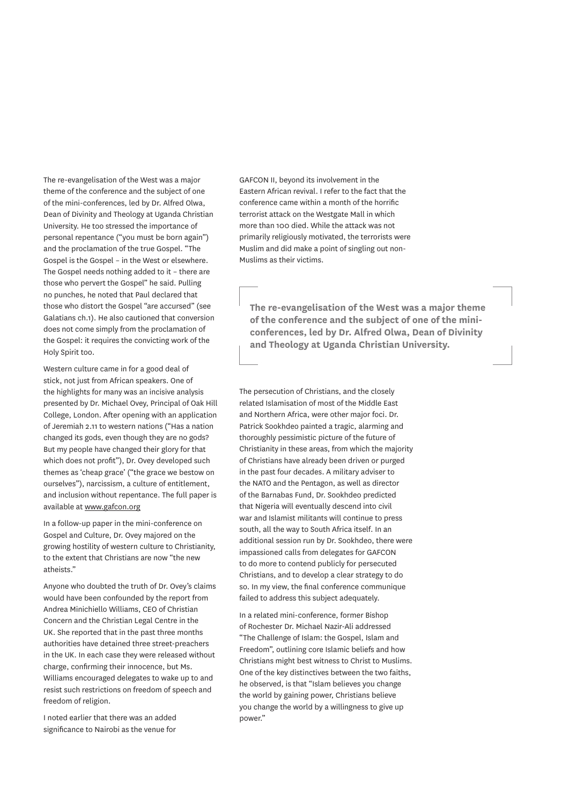The re-evangelisation of the West was a major theme of the conference and the subject of one of the mini-conferences, led by Dr. Alfred Olwa, Dean of Divinity and Theology at Uganda Christian University. He too stressed the importance of personal repentance ("you must be born again") and the proclamation of the true Gospel. "The Gospel is the Gospel – in the West or elsewhere. The Gospel needs nothing added to it – there are those who pervert the Gospel" he said. Pulling no punches, he noted that Paul declared that those who distort the Gospel "are accursed" (see Galatians ch.1). He also cautioned that conversion does not come simply from the proclamation of the Gospel: it requires the convicting work of the Holy Spirit too.

Western culture came in for a good deal of stick, not just from African speakers. One of the highlights for many was an incisive analysis presented by Dr. Michael Ovey, Principal of Oak Hill College, London. After opening with an application of Jeremiah 2.11 to western nations ("Has a nation changed its gods, even though they are no gods? But my people have changed their glory for that which does not profit"), Dr. Ovey developed such themes as 'cheap grace' ("the grace we bestow on ourselves"), narcissism, a culture of entitlement, and inclusion without repentance. The full paper is available at www.gafcon.org

In a follow-up paper in the mini-conference on Gospel and Culture, Dr. Ovey majored on the growing hostility of western culture to Christianity, to the extent that Christians are now "the new atheists."

Anyone who doubted the truth of Dr. Ovey's claims would have been confounded by the report from Andrea Minichiello Williams, CEO of Christian Concern and the Christian Legal Centre in the UK. She reported that in the past three months authorities have detained three street-preachers in the UK. In each case they were released without charge, confirming their innocence, but Ms. Williams encouraged delegates to wake up to and resist such restrictions on freedom of speech and freedom of religion.

I noted earlier that there was an added significance to Nairobi as the venue for

GAFCON II, beyond its involvement in the Eastern African revival. I refer to the fact that the conference came within a month of the horrific terrorist attack on the Westgate Mall in which more than 100 died. While the attack was not primarily religiously motivated, the terrorists were Muslim and did make a point of singling out non-Muslims as their victims.

**The re-evangelisation of the West was a major theme of the conference and the subject of one of the miniconferences, led by Dr. Alfred Olwa, Dean of Divinity and Theology at Uganda Christian University.**

The persecution of Christians, and the closely related Islamisation of most of the Middle East and Northern Africa, were other major foci. Dr. Patrick Sookhdeo painted a tragic, alarming and thoroughly pessimistic picture of the future of Christianity in these areas, from which the majority of Christians have already been driven or purged in the past four decades. A military adviser to the NATO and the Pentagon, as well as director of the Barnabas Fund, Dr. Sookhdeo predicted that Nigeria will eventually descend into civil war and Islamist militants will continue to press south, all the way to South Africa itself. In an additional session run by Dr. Sookhdeo, there were impassioned calls from delegates for GAFCON to do more to contend publicly for persecuted Christians, and to develop a clear strategy to do so. In my view, the final conference communique failed to address this subject adequately.

In a related mini-conference, former Bishop of Rochester Dr. Michael Nazir-Ali addressed "The Challenge of Islam: the Gospel, Islam and Freedom", outlining core Islamic beliefs and how Christians might best witness to Christ to Muslims. One of the key distinctives between the two faiths, he observed, is that "Islam believes you change the world by gaining power, Christians believe you change the world by a willingness to give up power."